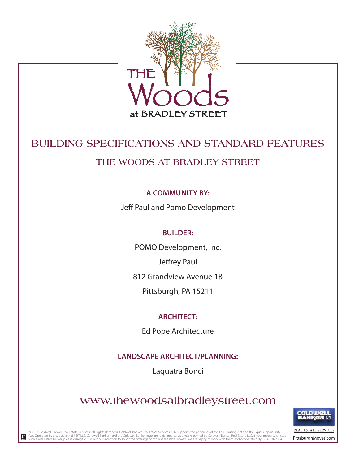

## **BUILDING SPECIFICATIONS AND STANDARD FEATURES**

## **THE WOODS AT BRADLEY STREET**

## **A COMMUNITY BY:**

Jeff Paul and Pomo Development

### **BUILDER:**

POMO Development, Inc.

Jeffrey Paul

812 Grandview Avenue 1B

Pittsburgh, PA 15211

## **ARCHITECT:**

Ed Pope Architecture

**LANDSCAPE ARCHITECT/PLANNING:**

Laquatra Bonci

# **www.thewoodsatbradleystreet.com**



REAL ESTATE SERVICES

© 2014 Coldwell Banker Real Estate Services. All Rights Reserved. Coldwell Banker Real Estate Services fully supports the principles of the Fair Housing Act and the Equal Opportunity is the Manker Real Estate Bark Team of

 $\mathbb R$